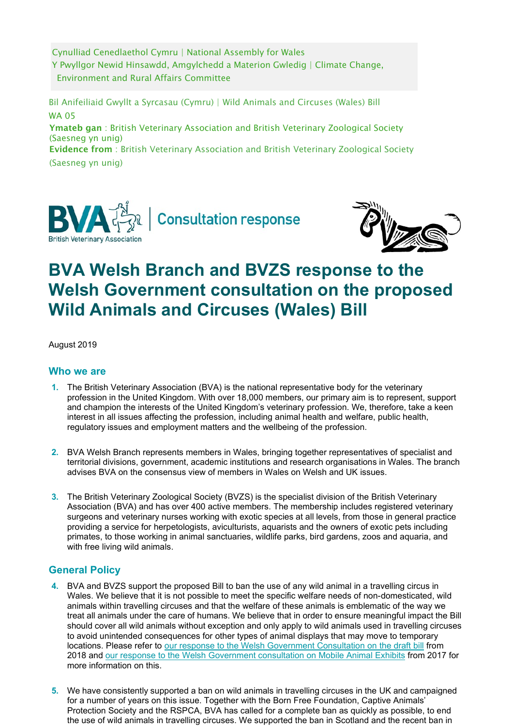Cynulliad Cenedlaethol Cymru | National Assembly for Wales Y Pwyllgor Newid Hinsawdd, Amgylchedd a Materion Gwledig | Climate Change, Environment and Rural Affairs Committee

 Bil Anifeiliaid Gwyllt a Syrcasau (Cymru) | Wild Animals and Circuses (Wales) Bill WA 05

Ymateb gan: British Veterinary Association and British Veterinary Zoological Society (Saesneg yn unig)

 Evidence from : British Veterinary Association and British Veterinary Zoological Society (Saesneg yn unig)





# **BVA Welsh Branch and BVZS response to the Welsh Government consultation on the proposed Wild Animals and Circuses (Wales) Bill**

August 2019

## **Who we are**

- **1.** The British Veterinary Association (BVA) is the national representative body for the veterinary profession in the United Kingdom. With over 18,000 members, our primary aim is to represent, support and champion the interests of the United Kingdom's veterinary profession. We, therefore, take a keen interest in all issues affecting the profession, including animal health and welfare, public health, regulatory issues and employment matters and the wellbeing of the profession.
- **2.** BVA Welsh Branch represents members in Wales, bringing together representatives of specialist and territorial divisions, government, academic institutions and research organisations in Wales. The branch advises BVA on the consensus view of members in Wales on Welsh and UK issues.
- **3.** The British Veterinary Zoological Society (BVZS) is the specialist division of the British Veterinary Association (BVA) and has over 400 active members. The membership includes registered veterinary surgeons and veterinary nurses working with exotic species at all levels, from those in general practice providing a service for herpetologists, aviculturists, aquarists and the owners of exotic pets including primates, to those working in animal sanctuaries, wildlife parks, bird gardens, zoos and aquaria, and with free living wild animals.

# **General Policy**

- **4.** BVA and BVZS support the proposed Bill to ban the use of any wild animal in a travelling circus in Wales. We believe that it is not possible to meet the specific welfare needs of non-domesticated, wild animals within travelling circuses and that the welfare of these animals is emblematic of the way we treat all animals under the care of humans. We believe that in order to ensure meaningful impact the Bill should cover all wild animals without exception and only apply to wild animals used in travelling circuses to avoid unintended consequences for other types of animal displays that may move to temporary locations. Please refer to our response to the Welsh Government [Consultation](https://www.bva.co.uk/uploadedFiles/Content/News%2C_campaigns_and_policies/Get_involved/Consultation_archive/BVA%20BVZS%20response%20to%20Welsh%20Circus%20Consultation.pdf) on the draft bill from 2018 and [our response to the Welsh Government consultation on Mobile Animal Exhibits](https://www.bva.co.uk/uploadedFiles/Content/News%2C_campaigns_and_policies/Get_involved/Consultation_archive/BVA%20Welsh%20Branch%20BVZS%20BSAVA%20response%20to%20WG%20mobile%20animal%20exhibits%20FINAL.pdf) from 2017 for more information on this.
- **5.** We have consistently supported a ban on wild animals in travelling circuses in the UK and campaigned for a number of years on this issue. Together with the Born Free Foundation, Captive Animals' Protection Society and the RSPCA, BVA has called for a complete ban as quickly as possible, to end the use of wild animals in travelling circuses. We supported the ban in Scotland and the recent ban in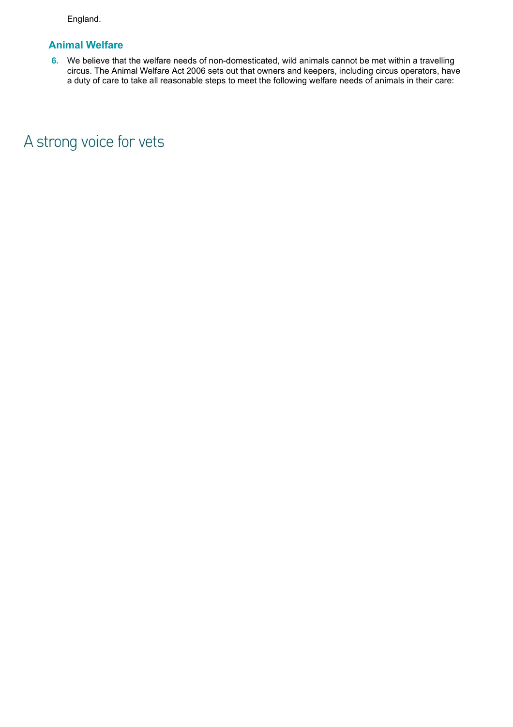England.

# **Animal Welfare**

**6.** We believe that the welfare needs of non-domesticated, wild animals cannot be met within a travelling circus. The Animal Welfare Act 2006 sets out that owners and keepers, including circus operators, have a duty of care to take all reasonable steps to meet the following welfare needs of animals in their care:

A strong voice for vets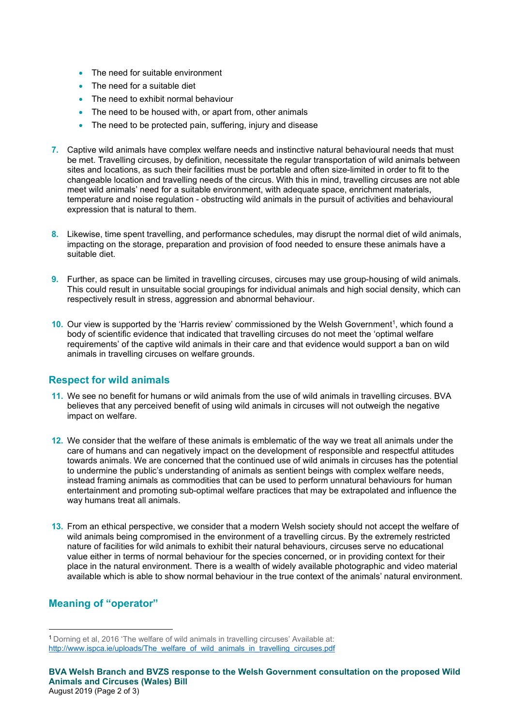- The need for suitable environment
- The need for a suitable diet
- The need to exhibit normal behaviour
- The need to be housed with, or apart from, other animals
- The need to be protected pain, suffering, injury and disease
- **7.** Captive wild animals have complex welfare needs and instinctive natural behavioural needs that must be met. Travelling circuses, by definition, necessitate the regular transportation of wild animals between sites and locations, as such their facilities must be portable and often size-limited in order to fit to the changeable location and travelling needs of the circus. With this in mind, travelling circuses are not able meet wild animals' need for a suitable environment, with adequate space, enrichment materials, temperature and noise regulation - obstructing wild animals in the pursuit of activities and behavioural expression that is natural to them.
- **8.** Likewise, time spent travelling, and performance schedules, may disrupt the normal diet of wild animals, impacting on the storage, preparation and provision of food needed to ensure these animals have a suitable diet.
- **9.** Further, as space can be limited in travelling circuses, circuses may use group-housing of wild animals. This could result in unsuitable social groupings for individual animals and high social density, which can respectively result in stress, aggression and abnormal behaviour.
- **10.** Our view is supported by the 'Harris review' commissioned by the Welsh Government<sup>1</sup>, which found a body of scientific evidence that indicated that travelling circuses do not meet the 'optimal welfare requirements' of the captive wild animals in their care and that evidence would support a ban on wild animals in travelling circuses on welfare grounds.

#### **Respect for wild animals**

- **11.** We see no benefit for humans or wild animals from the use of wild animals in travelling circuses. BVA believes that any perceived benefit of using wild animals in circuses will not outweigh the negative impact on welfare.
- **12.** We consider that the welfare of these animals is emblematic of the way we treat all animals under the care of humans and can negatively impact on the development of responsible and respectful attitudes towards animals. We are concerned that the continued use of wild animals in circuses has the potential to undermine the public's understanding of animals as sentient beings with complex welfare needs, instead framing animals as commodities that can be used to perform unnatural behaviours for human entertainment and promoting sub-optimal welfare practices that may be extrapolated and influence the way humans treat all animals.
- **13.** From an ethical perspective, we consider that a modern Welsh society should not accept the welfare of wild animals being compromised in the environment of a travelling circus. By the extremely restricted nature of facilities for wild animals to exhibit their natural behaviours, circuses serve no educational value either in terms of normal behaviour for the species concerned, or in providing context for their place in the natural environment. There is a wealth of widely available photographic and video material available which is able to show normal behaviour in the true context of the animals' natural environment.

## **Meaning of "operator"**

<sup>1</sup> Dorning et al, 2016 'The welfare of wild animals in travelling circuses' Available at: [http://www.ispca.ie/uploads/The\\_welfare\\_of\\_wild\\_animals\\_in\\_travelling\\_circuses.pdf](http://www.ispca.ie/uploads/The_welfare_of_wild_animals_in_travelling_circuses.pdf)